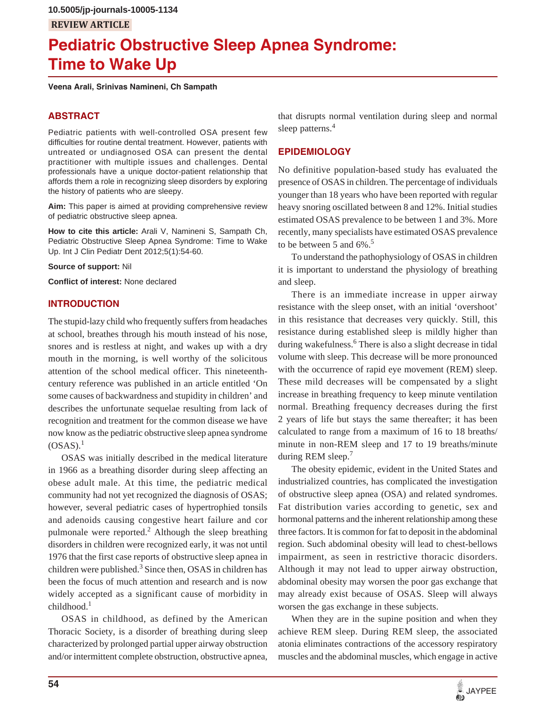# **Pediatric Obstructive Sleep Apnea Syndrome: Time to Wake Up**

**Veena Arali, Srinivas Namineni, Ch Sampath**

# **ABSTRACT**

Pediatric patients with well-controlled OSA present few difficulties for routine dental treatment. However, patients with untreated or undiagnosed OSA can present the dental practitioner with multiple issues and challenges. Dental professionals have a unique doctor-patient relationship that affords them a role in recognizing sleep disorders by exploring the history of patients who are sleepy.

**Aim:** This paper is aimed at providing comprehensive review of pediatric obstructive sleep apnea.

**How to cite this article:** Arali V, Namineni S, Sampath Ch, Pediatric Obstructive Sleep Apnea Syndrome: Time to Wake Up. Int J Clin Pediatr Dent 2012;5(1):54-60.

**Source of support:** Nil

**Conflict of interest:** None declared

### **INTRODUCTION**

The stupid-lazy child who frequently suffers from headaches at school, breathes through his mouth instead of his nose, snores and is restless at night, and wakes up with a dry mouth in the morning, is well worthy of the solicitous attention of the school medical officer. This nineteenthcentury reference was published in an article entitled 'On some causes of backwardness and stupidity in children' and describes the unfortunate sequelae resulting from lack of recognition and treatment for the common disease we have now know as the pediatric obstructive sleep apnea syndrome  $(OSAS).<sup>1</sup>$ 

OSAS was initially described in the medical literature in 1966 as a breathing disorder during sleep affecting an obese adult male. At this time, the pediatric medical community had not yet recognized the diagnosis of OSAS; however, several pediatric cases of hypertrophied tonsils and adenoids causing congestive heart failure and cor pulmonale were reported. $2$  Although the sleep breathing disorders in children were recognized early, it was not until 1976 that the first case reports of obstructive sleep apnea in children were published.<sup>3</sup> Since then, OSAS in children has been the focus of much attention and research and is now widely accepted as a significant cause of morbidity in  $childhood.<sup>1</sup>$ 

OSAS in childhood, as defined by the American Thoracic Society, is a disorder of breathing during sleep characterized by prolonged partial upper airway obstruction and/or intermittent complete obstruction, obstructive apnea,

that disrupts normal ventilation during sleep and normal sleep patterns.<sup>4</sup>

# **EPIDEMIOLOGY**

No definitive population-based study has evaluated the presence of OSAS in children. The percentage of individuals younger than 18 years who have been reported with regular heavy snoring oscillated between 8 and 12%. Initial studies estimated OSAS prevalence to be between 1 and 3%. More recently, many specialists have estimated OSAS prevalence to be between 5 and  $6\%$ .<sup>5</sup>

To understand the pathophysiology of OSAS in children it is important to understand the physiology of breathing and sleep.

There is an immediate increase in upper airway resistance with the sleep onset, with an initial 'overshoot' in this resistance that decreases very quickly. Still, this resistance during established sleep is mildly higher than during wakefulness.<sup>6</sup> There is also a slight decrease in tidal volume with sleep. This decrease will be more pronounced with the occurrence of rapid eye movement (REM) sleep. These mild decreases will be compensated by a slight increase in breathing frequency to keep minute ventilation normal. Breathing frequency decreases during the first 2 years of life but stays the same thereafter; it has been calculated to range from a maximum of 16 to 18 breaths/ minute in non-REM sleep and 17 to 19 breaths/minute during REM sleep.<sup>7</sup>

The obesity epidemic, evident in the United States and industrialized countries, has complicated the investigation of obstructive sleep apnea (OSA) and related syndromes. Fat distribution varies according to genetic, sex and hormonal patterns and the inherent relationship among these three factors. It is common for fat to deposit in the abdominal region. Such abdominal obesity will lead to chest-bellows impairment, as seen in restrictive thoracic disorders. Although it may not lead to upper airway obstruction, abdominal obesity may worsen the poor gas exchange that may already exist because of OSAS. Sleep will always worsen the gas exchange in these subjects.

When they are in the supine position and when they achieve REM sleep. During REM sleep, the associated atonia eliminates contractions of the accessory respiratory muscles and the abdominal muscles, which engage in active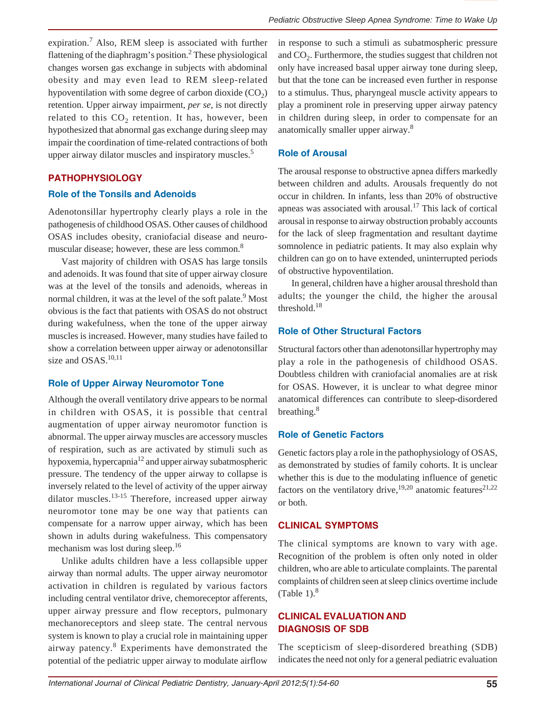expiration.<sup>7</sup> Also, REM sleep is associated with further flattening of the diaphragm's position.<sup>2</sup> These physiological changes worsen gas exchange in subjects with abdominal obesity and may even lead to REM sleep-related hypoventilation with some degree of carbon dioxide  $(CO<sub>2</sub>)$ retention. Upper airway impairment, *per se*, is not directly related to this  $CO<sub>2</sub>$  retention. It has, however, been hypothesized that abnormal gas exchange during sleep may impair the coordination of time-related contractions of both upper airway dilator muscles and inspiratory muscles.<sup>5</sup>

### **PATHOPHYSIOLOGY**

### **Role of the Tonsils and Adenoids**

Adenotonsillar hypertrophy clearly plays a role in the pathogenesis of childhood OSAS. Other causes of childhood OSAS includes obesity, craniofacial disease and neuromuscular disease; however, these are less common.<sup>8</sup>

Vast majority of children with OSAS has large tonsils and adenoids. It was found that site of upper airway closure was at the level of the tonsils and adenoids, whereas in normal children, it was at the level of the soft palate.<sup>9</sup> Most obvious is the fact that patients with OSAS do not obstruct during wakefulness, when the tone of the upper airway muscles is increased. However, many studies have failed to show a correlation between upper airway or adenotonsillar size and  $OSAS$ <sup>10,11</sup>

#### **Role of Upper Airway Neuromotor Tone**

Although the overall ventilatory drive appears to be normal in children with OSAS, it is possible that central augmentation of upper airway neuromotor function is abnormal. The upper airway muscles are accessory muscles of respiration, such as are activated by stimuli such as hypoxemia, hypercapnia<sup>12</sup> and upper airway subatmospheric pressure. The tendency of the upper airway to collapse is inversely related to the level of activity of the upper airway dilator muscles. $13-15$  Therefore, increased upper airway neuromotor tone may be one way that patients can compensate for a narrow upper airway, which has been shown in adults during wakefulness. This compensatory mechanism was lost during sleep.<sup>16</sup>

Unlike adults children have a less collapsible upper airway than normal adults. The upper airway neuromotor activation in children is regulated by various factors including central ventilator drive, chemoreceptor afferents, upper airway pressure and flow receptors, pulmonary mechanoreceptors and sleep state. The central nervous system is known to play a crucial role in maintaining upper airway patency.<sup>8</sup> Experiments have demonstrated the potential of the pediatric upper airway to modulate airflow

in response to such a stimuli as subatmospheric pressure and CO<sub>2</sub>. Furthermore, the studies suggest that children not only have increased basal upper airway tone during sleep, but that the tone can be increased even further in response to a stimulus. Thus, pharyngeal muscle activity appears to play a prominent role in preserving upper airway patency in children during sleep, in order to compensate for an anatomically smaller upper airway.8

### **Role of Arousal**

The arousal response to obstructive apnea differs markedly between children and adults. Arousals frequently do not occur in children. In infants, less than 20% of obstructive apneas was associated with arousal.<sup>17</sup> This lack of cortical arousal in response to airway obstruction probably accounts for the lack of sleep fragmentation and resultant daytime somnolence in pediatric patients. It may also explain why children can go on to have extended, uninterrupted periods of obstructive hypoventilation.

In general, children have a higher arousal threshold than adults; the younger the child, the higher the arousal threshold. $18$ 

# **Role of Other Structural Factors**

Structural factors other than adenotonsillar hypertrophy may play a role in the pathogenesis of childhood OSAS. Doubtless children with craniofacial anomalies are at risk for OSAS. However, it is unclear to what degree minor anatomical differences can contribute to sleep-disordered breathing.<sup>8</sup>

### **Role of Genetic Factors**

Genetic factors play a role in the pathophysiology of OSAS, as demonstrated by studies of family cohorts. It is unclear whether this is due to the modulating influence of genetic factors on the ventilatory drive,<sup>19,20</sup> anatomic features<sup>21,22</sup> or both.

# **CLINICAL SYMPTOMS**

The clinical symptoms are known to vary with age. Recognition of the problem is often only noted in older children, who are able to articulate complaints. The parental complaints of children seen at sleep clinics overtime include (Table 1). $8$ 

# **CLINICAL EVALUATION AND DIAGNOSIS OF SDB**

The scepticism of sleep-disordered breathing (SDB) indicates the need not only for a general pediatric evaluation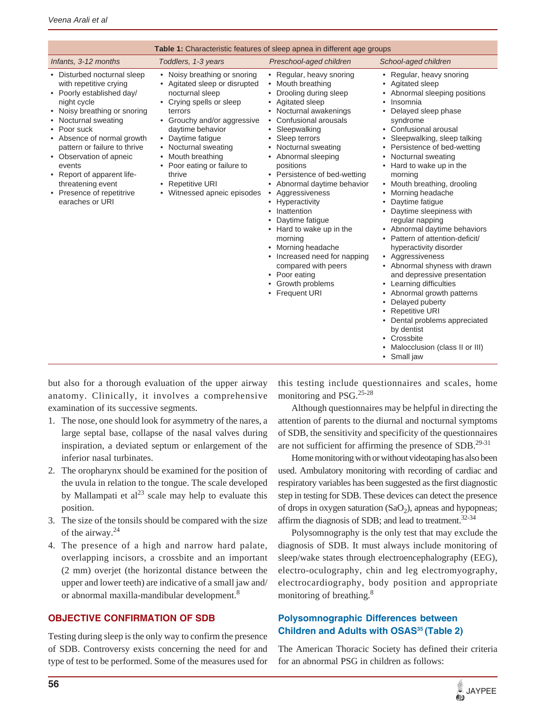| <b>Table 1:</b> Characteristic features of sleep apnea in different age groups                                                                                                                                                                                                                                                                                                 |                                                                                                                                                                                                                                                                                                                                        |                                                                                                                                                                                                                                                                                                                                                                                                                                                                                                                                                                                                        |                                                                                                                                                                                                                                                                                                                                                                                                                                                                                                                                                                                                                                                                                                                                                                                                                                                           |
|--------------------------------------------------------------------------------------------------------------------------------------------------------------------------------------------------------------------------------------------------------------------------------------------------------------------------------------------------------------------------------|----------------------------------------------------------------------------------------------------------------------------------------------------------------------------------------------------------------------------------------------------------------------------------------------------------------------------------------|--------------------------------------------------------------------------------------------------------------------------------------------------------------------------------------------------------------------------------------------------------------------------------------------------------------------------------------------------------------------------------------------------------------------------------------------------------------------------------------------------------------------------------------------------------------------------------------------------------|-----------------------------------------------------------------------------------------------------------------------------------------------------------------------------------------------------------------------------------------------------------------------------------------------------------------------------------------------------------------------------------------------------------------------------------------------------------------------------------------------------------------------------------------------------------------------------------------------------------------------------------------------------------------------------------------------------------------------------------------------------------------------------------------------------------------------------------------------------------|
| Infants, 3-12 months                                                                                                                                                                                                                                                                                                                                                           | Toddlers, 1-3 years                                                                                                                                                                                                                                                                                                                    | Preschool-aged children                                                                                                                                                                                                                                                                                                                                                                                                                                                                                                                                                                                | School-aged children                                                                                                                                                                                                                                                                                                                                                                                                                                                                                                                                                                                                                                                                                                                                                                                                                                      |
| • Disturbed nocturnal sleep<br>with repetitive crying<br>• Poorly established day/<br>night cycle<br>• Noisy breathing or snoring<br>• Nocturnal sweating<br>• Poor suck<br>• Absence of normal growth<br>pattern or failure to thrive<br>• Observation of apneic<br>events<br>• Report of apparent life-<br>threatening event<br>• Presence of repetitrive<br>earaches or URI | • Noisy breathing or snoring<br>• Agitated sleep or disrupted<br>nocturnal sleep<br>• Crying spells or sleep<br>terrors<br>• Grouchy and/or aggressive<br>daytime behavior<br>• Daytime fatigue<br>• Nocturnal sweating<br>Mouth breathing<br>• Poor eating or failure to<br>thrive<br>• Repetitive URI<br>• Witnessed apneic episodes | • Regular, heavy snoring<br>• Mouth breathing<br>Drooling during sleep<br>• Agitated sleep<br>• Nocturnal awakenings<br>• Confusional arousals<br>• Sleepwalking<br>• Sleep terrors<br>• Nocturnal sweating<br>• Abnormal sleeping<br>positions<br>• Persistence of bed-wetting<br>• Abnormal daytime behavior<br>Aggressiveness<br>$\bullet$<br>Hyperactivity<br>$\bullet$<br>Inattention<br>$\bullet$<br>Daytime fatigue<br>• Hard to wake up in the<br>morning<br>• Morning headache<br>• Increased need for napping<br>compared with peers<br>• Poor eating<br>• Growth problems<br>• Frequent URI | • Regular, heavy snoring<br>• Agitated sleep<br>Abnormal sleeping positions<br>Insomnia<br>$\bullet$<br>Delayed sleep phase<br>٠<br>syndrome<br>• Confusional arousal<br>Sleepwalking, sleep talking<br>$\bullet$<br>Persistence of bed-wetting<br>٠<br>Nocturnal sweating<br>٠<br>• Hard to wake up in the<br>morning<br>Mouth breathing, drooling<br>Morning headache<br>٠<br>Daytime fatigue<br>٠<br>• Daytime sleepiness with<br>regular napping<br>• Abnormal daytime behaviors<br>• Pattern of attention-deficit/<br>hyperactivity disorder<br>• Aggressiveness<br>• Abnormal shyness with drawn<br>and depressive presentation<br>• Learning difficulties<br>• Abnormal growth patterns<br>Delayed puberty<br>٠<br>• Repetitive URI<br>• Dental problems appreciated<br>by dentist<br>• Crossbite<br>Malocclusion (class II or III)<br>• Small jaw |

but also for a thorough evaluation of the upper airway anatomy. Clinically, it involves a comprehensive examination of its successive segments.

- 1. The nose, one should look for asymmetry of the nares, a large septal base, collapse of the nasal valves during inspiration, a deviated septum or enlargement of the inferior nasal turbinates.
- 2. The oropharynx should be examined for the position of the uvula in relation to the tongue. The scale developed by Mallampati et  $al^{23}$  scale may help to evaluate this position.
- 3. The size of the tonsils should be compared with the size of the airway.<sup>24</sup>
- 4. The presence of a high and narrow hard palate, overlapping incisors, a crossbite and an important (2 mm) overjet (the horizontal distance between the upper and lower teeth) are indicative of a small jaw and/ or abnormal maxilla-mandibular development.<sup>8</sup>

# **OBJECTIVE CONFIRMATION OF SDB**

Testing during sleep is the only way to confirm the presence of SDB. Controversy exists concerning the need for and type of test to be performed. Some of the measures used for

this testing include questionnaires and scales, home monitoring and PSG.25-28

Although questionnaires may be helpful in directing the attention of parents to the diurnal and nocturnal symptoms of SDB, the sensitivity and specificity of the questionnaires are not sufficient for affirming the presence of  $SDB$ <sup>29-31</sup>

Home monitoring with or without videotaping has also been used. Ambulatory monitoring with recording of cardiac and respiratory variables has been suggested as the first diagnostic step in testing for SDB. These devices can detect the presence of drops in oxygen saturation  $(SaO<sub>2</sub>)$ , apneas and hypopneas; affirm the diagnosis of SDB; and lead to treatment.32-34

Polysomnography is the only test that may exclude the diagnosis of SDB. It must always include monitoring of sleep/wake states through electroencephalography (EEG), electro-oculography, chin and leg electromyography, electrocardiography, body position and appropriate monitoring of breathing.<sup>8</sup>

# **Polysomnographic Differences between Children and Adults with OSAS<sup>35</sup> (Table 2)**

The American Thoracic Society has defined their criteria for an abnormal PSG in children as follows: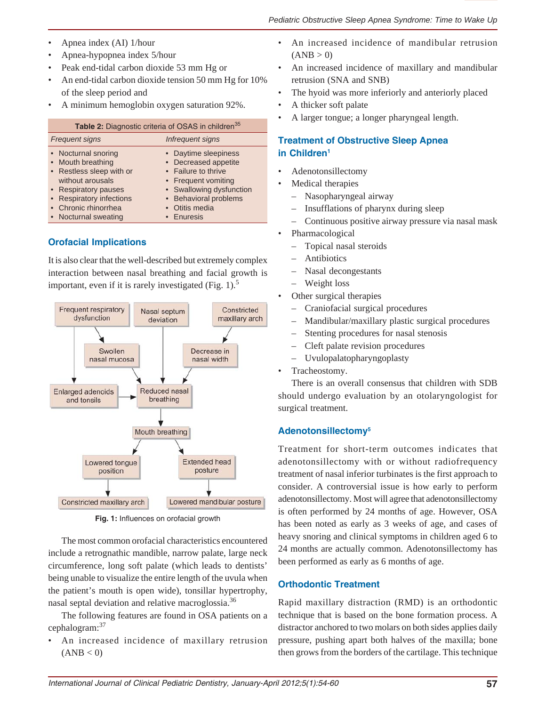- Apnea index (AI) 1/hour
- Apnea-hypopnea index 5/hour
- Peak end-tidal carbon dioxide 53 mm Hg or
- An end-tidal carbon dioxide tension 50 mm Hg for 10% of the sleep period and
- A minimum hemoglobin oxygen saturation 92%.

| Table 2: Diagnostic criteria of OSAS in children <sup>35</sup> |                          |  |  |
|----------------------------------------------------------------|--------------------------|--|--|
| <b>Frequent signs</b>                                          | Infrequent signs         |  |  |
| • Nocturnal snoring                                            | • Daytime sleepiness     |  |  |
| • Mouth breathing                                              | • Decreased appetite     |  |  |
| • Restless sleep with or                                       | • Failure to thrive      |  |  |
| without arousals                                               | • Frequent vomiting      |  |  |
| • Respiratory pauses                                           | • Swallowing dysfunction |  |  |
| • Respiratory infections                                       | • Behavioral problems    |  |  |
| • Chronic rhinorrhea                                           | Otitis media             |  |  |
| • Nocturnal sweating                                           | • Enuresis               |  |  |

# **Orofacial Implications**

It is also clear that the well-described but extremely complex interaction between nasal breathing and facial growth is important, even if it is rarely investigated (Fig. 1).<sup>5</sup>



**Fig. 1:** Influences on orofacial growth

The most common orofacial characteristics encountered include a retrognathic mandible, narrow palate, large neck circumference, long soft palate (which leads to dentists' being unable to visualize the entire length of the uvula when the patient's mouth is open wide), tonsillar hypertrophy, nasal septal deviation and relative macroglossia.<sup>36</sup>

The following features are found in OSA patients on a cephalogram:37

• An increased incidence of maxillary retrusion  $(ANB < 0)$ 

- An increased incidence of mandibular retrusion  $(ANB > 0)$
- An increased incidence of maxillary and mandibular retrusion (SNA and SNB)
- The hyoid was more inferiorly and anteriorly placed
- A thicker soft palate
- A larger tongue; a longer pharyngeal length.

# **Treatment of Obstructive Sleep Apnea in Children1**

- Adenotonsillectomy
- Medical therapies
	- Nasopharyngeal airway
	- Insufflations of pharynx during sleep
	- Continuous positive airway pressure via nasal mask
- Pharmacological
	- Topical nasal steroids
	- Antibiotics
	- Nasal decongestants
	- Weight loss
- Other surgical therapies
	- Craniofacial surgical procedures
	- Mandibular/maxillary plastic surgical procedures
	- Stenting procedures for nasal stenosis
	- Cleft palate revision procedures
	- Uvulopalatopharyngoplasty
- Tracheostomy.

There is an overall consensus that children with SDB should undergo evaluation by an otolaryngologist for surgical treatment.

# **Adenotonsillectomy5**

Treatment for short-term outcomes indicates that adenotonsillectomy with or without radiofrequency treatment of nasal inferior turbinates is the first approach to consider. A controversial issue is how early to perform adenotonsillectomy. Most will agree that adenotonsillectomy is often performed by 24 months of age. However, OSA has been noted as early as 3 weeks of age, and cases of heavy snoring and clinical symptoms in children aged 6 to 24 months are actually common. Adenotonsillectomy has been performed as early as 6 months of age.

# **Orthodontic Treatment**

Rapid maxillary distraction (RMD) is an orthodontic technique that is based on the bone formation process. A distractor anchored to two molars on both sides applies daily pressure, pushing apart both halves of the maxilla; bone then grows from the borders of the cartilage. This technique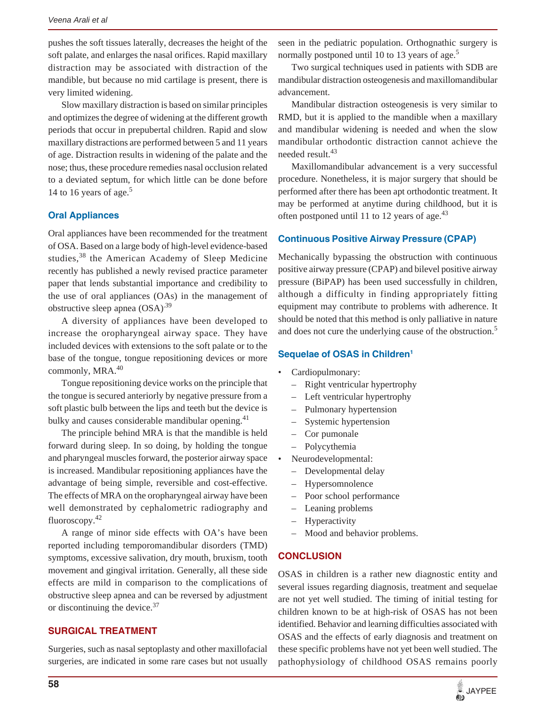pushes the soft tissues laterally, decreases the height of the soft palate, and enlarges the nasal orifices. Rapid maxillary distraction may be associated with distraction of the mandible, but because no mid cartilage is present, there is very limited widening.

Slow maxillary distraction is based on similar principles and optimizes the degree of widening at the different growth periods that occur in prepubertal children. Rapid and slow maxillary distractions are performed between 5 and 11 years of age. Distraction results in widening of the palate and the nose; thus, these procedure remedies nasal occlusion related to a deviated septum, for which little can be done before 14 to 16 years of age.<sup>5</sup>

# **Oral Appliances**

Oral appliances have been recommended for the treatment of OSA. Based on a large body of high-level evidence-based studies,<sup>38</sup> the American Academy of Sleep Medicine recently has published a newly revised practice parameter paper that lends substantial importance and credibility to the use of oral appliances (OAs) in the management of obstructive sleep apnea  $(OSA)^{39}$ 

A diversity of appliances have been developed to increase the oropharyngeal airway space. They have included devices with extensions to the soft palate or to the base of the tongue, tongue repositioning devices or more commonly, MRA.<sup>40</sup>

Tongue repositioning device works on the principle that the tongue is secured anteriorly by negative pressure from a soft plastic bulb between the lips and teeth but the device is bulky and causes considerable mandibular opening. $41$ 

The principle behind MRA is that the mandible is held forward during sleep. In so doing, by holding the tongue and pharyngeal muscles forward, the posterior airway space is increased. Mandibular repositioning appliances have the advantage of being simple, reversible and cost-effective. The effects of MRA on the oropharyngeal airway have been well demonstrated by cephalometric radiography and fluoroscopy.42

A range of minor side effects with OA's have been reported including temporomandibular disorders (TMD) symptoms, excessive salivation, dry mouth, bruxism, tooth movement and gingival irritation. Generally, all these side effects are mild in comparison to the complications of obstructive sleep apnea and can be reversed by adjustment or discontinuing the device.37

# **SURGICAL TREATMENT**

Surgeries, such as nasal septoplasty and other maxillofacial surgeries, are indicated in some rare cases but not usually seen in the pediatric population. Orthognathic surgery is normally postponed until 10 to 13 years of age.<sup>5</sup>

Two surgical techniques used in patients with SDB are mandibular distraction osteogenesis and maxillomandibular advancement.

Mandibular distraction osteogenesis is very similar to RMD, but it is applied to the mandible when a maxillary and mandibular widening is needed and when the slow mandibular orthodontic distraction cannot achieve the needed result.43

Maxillomandibular advancement is a very successful procedure. Nonetheless, it is major surgery that should be performed after there has been apt orthodontic treatment. It may be performed at anytime during childhood, but it is often postponed until 11 to 12 years of age. $43$ 

### **Continuous Positive Airway Pressure (CPAP)**

Mechanically bypassing the obstruction with continuous positive airway pressure (CPAP) and bilevel positive airway pressure (BiPAP) has been used successfully in children, although a difficulty in finding appropriately fitting equipment may contribute to problems with adherence. It should be noted that this method is only palliative in nature and does not cure the underlying cause of the obstruction.<sup>5</sup>

### **Sequelae of OSAS in Children1**

- Cardiopulmonary:
	- Right ventricular hypertrophy
	- Left ventricular hypertrophy
	- Pulmonary hypertension
	- Systemic hypertension
	- Cor pumonale
	- Polycythemia
- Neurodevelopmental:
	- Developmental delay
	- Hypersomnolence
	- Poor school performance
	- Leaning problems
	- Hyperactivity
	- Mood and behavior problems.

# **CONCLUSION**

OSAS in children is a rather new diagnostic entity and several issues regarding diagnosis, treatment and sequelae are not yet well studied. The timing of initial testing for children known to be at high-risk of OSAS has not been identified. Behavior and learning difficulties associated with OSAS and the effects of early diagnosis and treatment on these specific problems have not yet been well studied. The pathophysiology of childhood OSAS remains poorly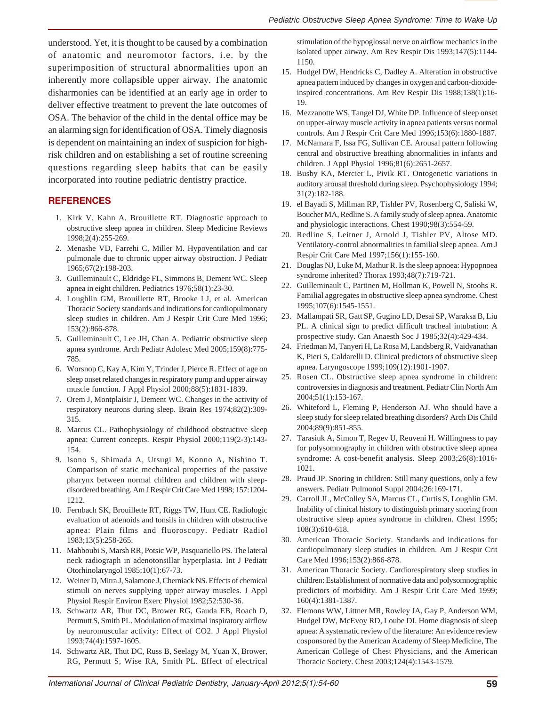understood. Yet, it is thought to be caused by a combination of anatomic and neuromotor factors, i.e. by the superimposition of structural abnormalities upon an inherently more collapsible upper airway. The anatomic disharmonies can be identified at an early age in order to deliver effective treatment to prevent the late outcomes of OSA. The behavior of the child in the dental office may be an alarming sign for identification of OSA. Timely diagnosis is dependent on maintaining an index of suspicion for highrisk children and on establishing a set of routine screening questions regarding sleep habits that can be easily incorporated into routine pediatric dentistry practice.

### **REFERENCES**

- 1. Kirk V, Kahn A, Brouillette RT. Diagnostic approach to obstructive sleep apnea in children. Sleep Medicine Reviews 1998;2(4):255-269.
- 2. Menashe VD, Farrehi C, Miller M. Hypoventilation and car pulmonale due to chronic upper airway obstruction. J Pediatr 1965;67(2):198-203.
- 3. Guilleminault C, Eldridge FL, Simmons B, Dement WC. Sleep apnea in eight children. Pediatrics 1976;58(1):23-30.
- 4. Loughlin GM, Brouillette RT, Brooke LJ, et al. American Thoracic Society standards and indications for cardiopulmonary sleep studies in children. Am J Respir Crit Cure Med 1996; 153(2):866-878.
- 5. Guilleminault C, Lee JH, Chan A. Pediatric obstructive sleep apnea syndrome. Arch Pediatr Adolesc Med 2005;159(8):775- 785.
- 6. Worsnop C, Kay A, Kim Y, Trinder J, Pierce R. Effect of age on sleep onset related changes in respiratory pump and upper airway muscle function. J Appl Physiol 2000;88(5):1831-1839.
- 7. Orem J, Montplaisir J, Dement WC. Changes in the activity of respiratory neurons during sleep. Brain Res 1974;82(2):309- 315.
- 8. Marcus CL. Pathophysiology of childhood obstructive sleep apnea: Current concepts. Respir Physiol 2000;119(2-3):143- 154.
- 9. Isono S, Shimada A, Utsugi M, Konno A, Nishino T. Comparison of static mechanical properties of the passive pharynx between normal children and children with sleepdisordered breathing. Am J Respir Crit Care Med 1998; 157:1204- 1212.
- 10. Fernbach SK, Brouillette RT, Riggs TW, Hunt CE. Radiologic evaluation of adenoids and tonsils in children with obstructive apnea: Plain films and fluoroscopy. Pediatr Radiol 1983;13(5):258-265.
- 11. Mahboubi S, Marsh RR, Potsic WP, Pasquariello PS. The lateral neck radiograph in adenotonsillar hyperplasia. Int J Pediatr Otorhinolaryngol 1985;10(1):67-73.
- 12. Weiner D, Mitra J, Salamone J, Cherniack NS. Effects of chemical stimuli on nerves supplying upper airway muscles. J Appl Physiol Respir Environ Exerc Physiol 1982;52:530-36.
- 13. Schwartz AR, Thut DC, Brower RG, Gauda EB, Roach D, Permutt S, Smith PL. Modulation of maximal inspiratory airflow by neuromuscular activity: Effect of CO2. J Appl Physiol 1993;74(4):1597-1605.
- 14. Schwartz AR, Thut DC, Russ B, Seelagy M, Yuan X, Brower, RG, Permutt S, Wise RA, Smith PL. Effect of electrical

stimulation of the hypoglossal nerve on airflow mechanics in the isolated upper airway. Am Rev Respir Dis 1993;147(5):1144- 1150.

- 15. Hudgel DW, Hendricks C, Dadley A. Alteration in obstructive apnea pattern induced by changes in oxygen and carbon-dioxideinspired concentrations. Am Rev Respir Dis 1988;138(1):16- 19.
- 16. Mezzanotte WS, Tangel DJ, White DP. Influence of sleep onset on upper-airway muscle activity in apnea patients versus normal controls. Am J Respir Crit Care Med 1996;153(6):1880-1887.
- 17. McNamara F, Issa FG, Sullivan CE. Arousal pattern following central and obstructive breathing abnormalities in infants and children. J Appl Physiol 1996;81(6):2651-2657.
- 18. Busby KA, Mercier L, Pivik RT. Ontogenetic variations in auditory arousal threshold during sleep. Psychophysiology 1994; 31(2):182-188.
- 19. el Bayadi S, Millman RP, Tishler PV, Rosenberg C, Saliski W, Boucher MA, Redline S. A family study of sleep apnea. Anatomic and physiologic interactions. Chest 1990;98(3):554-59.
- 20. Redline S, Leitner J, Arnold J, Tishler PV, Altose MD. Ventilatory-control abnormalities in familial sleep apnea. Am J Respir Crit Care Med 1997;156(1):155-160.
- 21. Douglas NJ, Luke M, Mathur R. Is the sleep apnoea: Hypopnoea syndrome inherited? Thorax 1993;48(7):719-721.
- 22. Guilleminault C, Partinen M, Hollman K, Powell N, Stoohs R. Familial aggregates in obstructive sleep apnea syndrome. Chest 1995;107(6):1545-1551.
- 23. Mallampati SR, Gatt SP, Gugino LD, Desai SP, Waraksa B, Liu PL. A clinical sign to predict difficult tracheal intubation: A prospective study. Can Anaesth Soc J 1985;32(4):429-434.
- 24. Friedman M, Tanyeri H, La Rosa M, Landsberg R, Vaidyanathan K, Pieri S, Caldarelli D. Clinical predictors of obstructive sleep apnea. Laryngoscope 1999;109(12):1901-1907.
- 25. Rosen CL. Obstructive sleep apnea syndrome in children: controversies in diagnosis and treatment. Pediatr Clin North Am 2004;51(1):153-167.
- 26. Whiteford L, Fleming P, Henderson AJ. Who should have a sleep study for sleep related breathing disorders? Arch Dis Child 2004;89(9):851-855.
- 27. Tarasiuk A, Simon T, Regev U, Reuveni H. Willingness to pay for polysomnography in children with obstructive sleep apnea syndrome: A cost-benefit analysis. Sleep 2003;26(8):1016- 1021.
- 28. Praud JP. Snoring in children: Still many questions, only a few answers. Pediatr Pulmonol Suppl 2004;26:169-171.
- 29. Carroll JL, McColley SA, Marcus CL, Curtis S, Loughlin GM. Inability of clinical history to distinguish primary snoring from obstructive sleep apnea syndrome in children. Chest 1995; 108(3):610-618.
- 30. American Thoracic Society. Standards and indications for cardiopulmonary sleep studies in children. Am J Respir Crit Care Med 1996;153(2):866-878.
- 31. American Thoracic Society. Cardiorespiratory sleep studies in children: Establishment of normative data and polysomnographic predictors of morbidity. Am J Respir Crit Care Med 1999; 160(4):1381-1387.
- 32. Flemons WW, Littner MR, Rowley JA, Gay P, Anderson WM, Hudgel DW, McEvoy RD, Loube DI. Home diagnosis of sleep apnea: A systematic review of the literature: An evidence review cosponsored by the American Academy of Sleep Medicine, The American College of Chest Physicians, and the American Thoracic Society. Chest 2003;124(4):1543-1579.